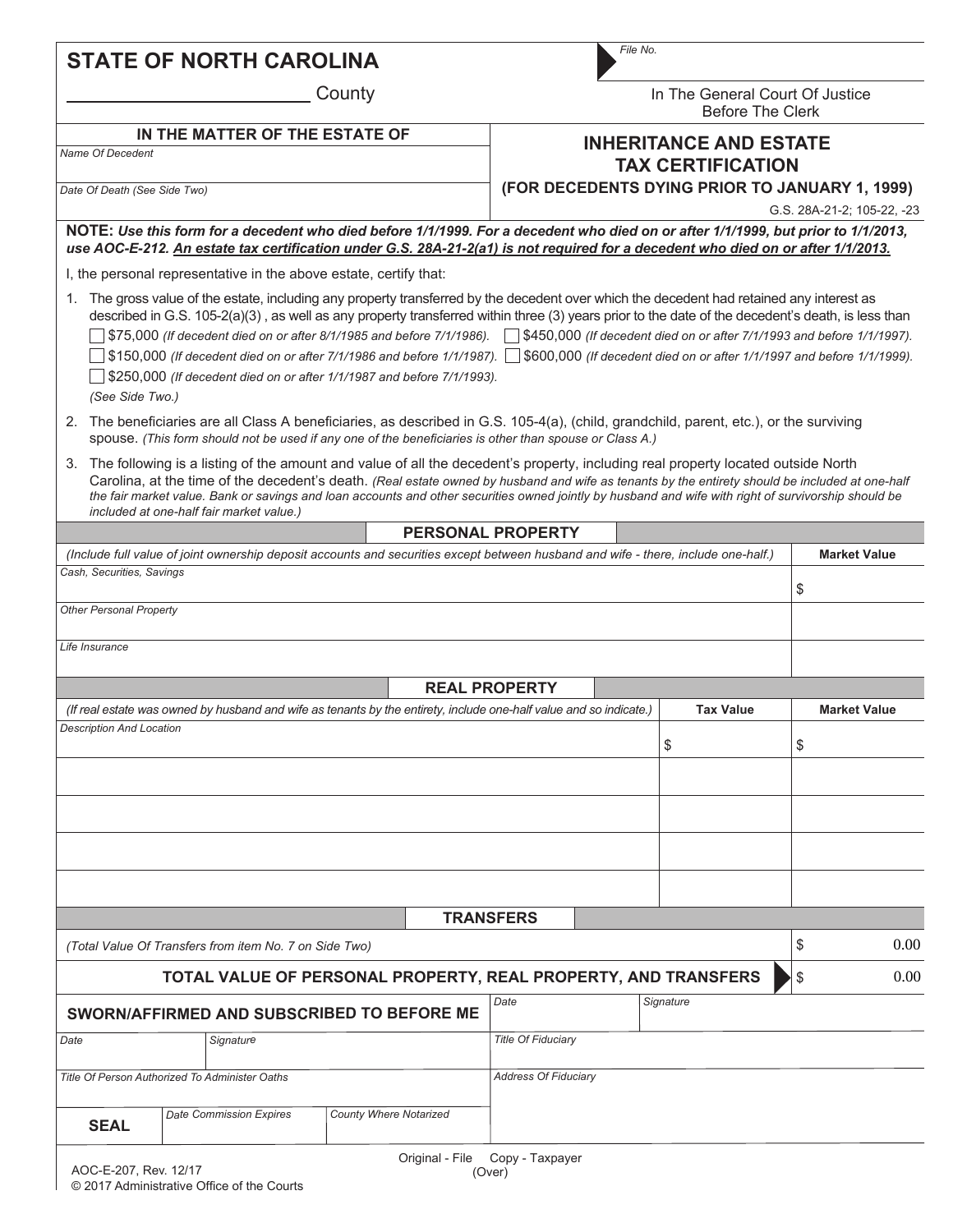## **STATE OF NORTH CAROLINA**

County

| ×<br>۰. | ×<br>۰. |
|---------|---------|
|         |         |

In The General Court Of Justice Before The Clerk

## **INHERITANCE AND ESTATE TAX CERTIFICATION**

**(FOR DECEDENTS DYING PRIOR TO JANUARY 1, 1999)**

*Date Of Death (See Side Two)*

*Name Of Decedent*

G.S. 28A-21-2; 105-22, -23

**NOTE:** *Use this form for a decedent who died before 1/1/1999. For a decedent who died on or after 1/1/1999, but prior to 1/1/2013, use AOC-E-212. An estate tax certification under G.S. 28A-21-2(a1) is not required for a decedent who died on or after 1/1/2013.*

I, the personal representative in the above estate, certify that:

**IN THE MATTER OF THE ESTATE OF**

1. The gross value of the estate, including any property transferred by the decedent over which the decedent had retained any interest as described in G.S. 105-2(a)(3), as well as any property transferred within three (3) years prior to the date of the decedent's death, is less than \$75,000 *(If decedent died on or after 8/1/1985 and before 7/1/1986).* \$450,000 *(If decedent died on or after 7/1/1993 and before 1/1/1997).* \$150,000 *(If decedent died on or after 7/1/1986 and before 1/1/1987).* \$600,000 *(If decedent died on or after 1/1/1997 and before 1/1/1999).*

\$250,000 *(If decedent died on or after 1/1/1987 and before 7/1/1993).*

*(See Side Two.)*

- 2. The beneficiaries are all Class A beneficiaries, as described in G.S. 105-4(a), (child, grandchild, parent, etc.), or the surviving spouse. *(This form should not be used if any one of the beneficiaries is other than spouse or Class A.)*
- 3. The following is a listing of the amount and value of all the decedent's property, including real property located outside North Carolina, at the time of the decedent's death. *(Real estate owned by husband and wife as tenants by the entirety should be included at one-half the fair market value. Bank or savings and loan accounts and other securities owned jointly by husband and wife with right of survivorship should be included at one-half fair market value.)*

**PERSONAL PROPERTY**

|                                                |  |                                                                                                                    |                           |                 | <b>PERSUNAL PRUPER I I</b>  |                                                                                                                                    |                     |
|------------------------------------------------|--|--------------------------------------------------------------------------------------------------------------------|---------------------------|-----------------|-----------------------------|------------------------------------------------------------------------------------------------------------------------------------|---------------------|
|                                                |  |                                                                                                                    |                           |                 |                             | (Include full value of joint ownership deposit accounts and securities except between husband and wife - there, include one-half.) | <b>Market Value</b> |
| Cash, Securities, Savings                      |  |                                                                                                                    |                           |                 |                             |                                                                                                                                    | \$                  |
| <b>Other Personal Property</b>                 |  |                                                                                                                    |                           |                 |                             |                                                                                                                                    |                     |
| Life Insurance                                 |  |                                                                                                                    |                           |                 |                             |                                                                                                                                    |                     |
|                                                |  |                                                                                                                    |                           |                 | <b>REAL PROPERTY</b>        |                                                                                                                                    |                     |
|                                                |  | (If real estate was owned by husband and wife as tenants by the entirety, include one-half value and so indicate.) |                           |                 |                             | <b>Tax Value</b>                                                                                                                   | <b>Market Value</b> |
| <b>Description And Location</b>                |  |                                                                                                                    |                           |                 |                             | \$                                                                                                                                 | \$                  |
|                                                |  |                                                                                                                    |                           |                 |                             |                                                                                                                                    |                     |
|                                                |  |                                                                                                                    |                           |                 |                             |                                                                                                                                    |                     |
|                                                |  |                                                                                                                    |                           |                 |                             |                                                                                                                                    |                     |
|                                                |  |                                                                                                                    |                           |                 |                             |                                                                                                                                    |                     |
|                                                |  |                                                                                                                    |                           |                 | <b>TRANSFERS</b>            |                                                                                                                                    |                     |
|                                                |  | (Total Value Of Transfers from item No. 7 on Side Two)                                                             |                           |                 |                             |                                                                                                                                    | \$<br>0.00          |
|                                                |  |                                                                                                                    |                           |                 |                             | TOTAL VALUE OF PERSONAL PROPERTY, REAL PROPERTY, AND TRANSFERS                                                                     | \$<br>0.00          |
|                                                |  | SWORN/AFFIRMED AND SUBSCRIBED TO BEFORE ME                                                                         |                           |                 | Date                        | Signature                                                                                                                          |                     |
| Date<br>Signature                              |  |                                                                                                                    | <b>Title Of Fiduciary</b> |                 |                             |                                                                                                                                    |                     |
| Title Of Person Authorized To Administer Oaths |  |                                                                                                                    |                           |                 | <b>Address Of Fiduciary</b> |                                                                                                                                    |                     |
| <b>SEAL</b>                                    |  | <b>Date Commission Expires</b>                                                                                     | County Where Notarized    |                 |                             |                                                                                                                                    |                     |
| AOC-E-207, Rev. 12/17                          |  |                                                                                                                    |                           | Original - File | Copy - Taxpayer<br>(Over)   |                                                                                                                                    |                     |